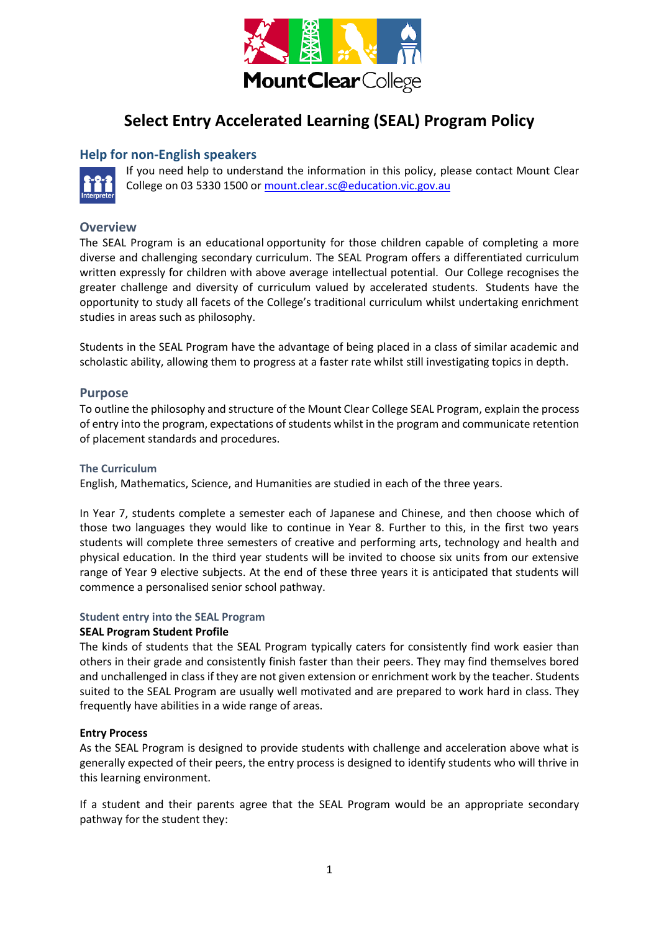

# **Select Entry Accelerated Learning (SEAL) Program Policy**

#### **Help for non-English speakers**



If you need help to understand the information in this policy, please contact Mount Clear College on 03 5330 1500 o[r mount.clear.sc@education.vic.gov.au](mailto:mount.clear.sc@education.vic.gov.au)

#### **Overview**

The SEAL Program is an educational opportunity for those children capable of completing a more diverse and challenging secondary curriculum. The SEAL Program offers a differentiated curriculum written expressly for children with above average intellectual potential. Our College recognises the greater challenge and diversity of curriculum valued by accelerated students. Students have the opportunity to study all facets of the College's traditional curriculum whilst undertaking enrichment studies in areas such as philosophy.

Students in the SEAL Program have the advantage of being placed in a class of similar academic and scholastic ability, allowing them to progress at a faster rate whilst still investigating topics in depth.

#### **Purpose**

To outline the philosophy and structure of the Mount Clear College SEAL Program, explain the process of entry into the program, expectations of students whilst in the program and communicate retention of placement standards and procedures.

#### **The Curriculum**

English, Mathematics, Science, and Humanities are studied in each of the three years.

In Year 7, students complete a semester each of Japanese and Chinese, and then choose which of those two languages they would like to continue in Year 8. Further to this, in the first two years students will complete three semesters of creative and performing arts, technology and health and physical education. In the third year students will be invited to choose six units from our extensive range of Year 9 elective subjects. At the end of these three years it is anticipated that students will commence a personalised senior school pathway.

#### **Student entry into the SEAL Program**

#### **SEAL Program Student Profile**

The kinds of students that the SEAL Program typically caters for consistently find work easier than others in their grade and consistently finish faster than their peers. They may find themselves bored and unchallenged in class if they are not given extension or enrichment work by the teacher. Students suited to the SEAL Program are usually well motivated and are prepared to work hard in class. They frequently have abilities in a wide range of areas.

#### **Entry Process**

As the SEAL Program is designed to provide students with challenge and acceleration above what is generally expected of their peers, the entry process is designed to identify students who will thrive in this learning environment.

If a student and their parents agree that the SEAL Program would be an appropriate secondary pathway for the student they: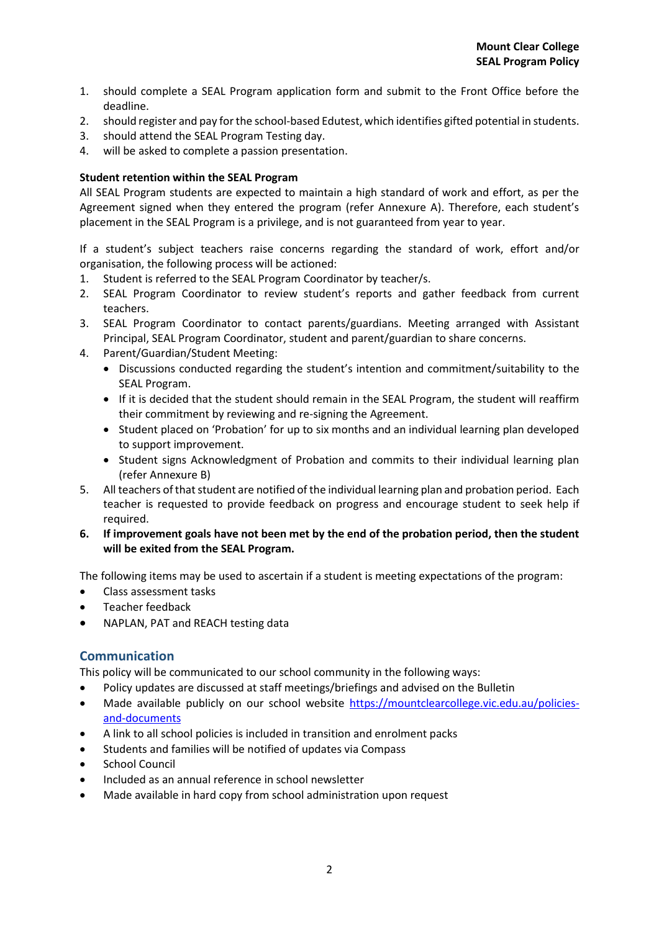- 1. should complete a SEAL Program application form and submit to the Front Office before the deadline.
- 2. should register and pay for the school-based Edutest, which identifies gifted potential in students.
- 3. should attend the SEAL Program Testing day.
- 4. will be asked to complete a passion presentation.

#### **Student retention within the SEAL Program**

All SEAL Program students are expected to maintain a high standard of work and effort, as per the Agreement signed when they entered the program (refer Annexure A). Therefore, each student's placement in the SEAL Program is a privilege, and is not guaranteed from year to year.

If a student's subject teachers raise concerns regarding the standard of work, effort and/or organisation, the following process will be actioned:

- 1. Student is referred to the SEAL Program Coordinator by teacher/s.
- 2. SEAL Program Coordinator to review student's reports and gather feedback from current teachers.
- 3. SEAL Program Coordinator to contact parents/guardians. Meeting arranged with Assistant Principal, SEAL Program Coordinator, student and parent/guardian to share concerns.
- 4. Parent/Guardian/Student Meeting:
	- Discussions conducted regarding the student's intention and commitment/suitability to the SEAL Program.
	- If it is decided that the student should remain in the SEAL Program, the student will reaffirm their commitment by reviewing and re-signing the Agreement.
	- Student placed on 'Probation' for up to six months and an individual learning plan developed to support improvement.
	- Student signs Acknowledgment of Probation and commits to their individual learning plan (refer Annexure B)
- 5. All teachers of that student are notified of the individual learning plan and probation period. Each teacher is requested to provide feedback on progress and encourage student to seek help if required.
- **6. If improvement goals have not been met by the end of the probation period, then the student will be exited from the SEAL Program.**

The following items may be used to ascertain if a student is meeting expectations of the program:

- Class assessment tasks
- Teacher feedback
- NAPLAN, PAT and REACH testing data

#### **Communication**

This policy will be communicated to our school community in the following ways:

- Policy updates are discussed at staff meetings/briefings and advised on the Bulletin
- Made available publicly on our school website [https://mountclearcollege.vic.edu.au/policies](https://mountclearcollege.vic.edu.au/policies-and-documents)[and-documents](https://mountclearcollege.vic.edu.au/policies-and-documents)
- A link to all school policies is included in transition and enrolment packs
- Students and families will be notified of updates via Compass
- School Council
- Included as an annual reference in school newsletter
- Made available in hard copy from school administration upon request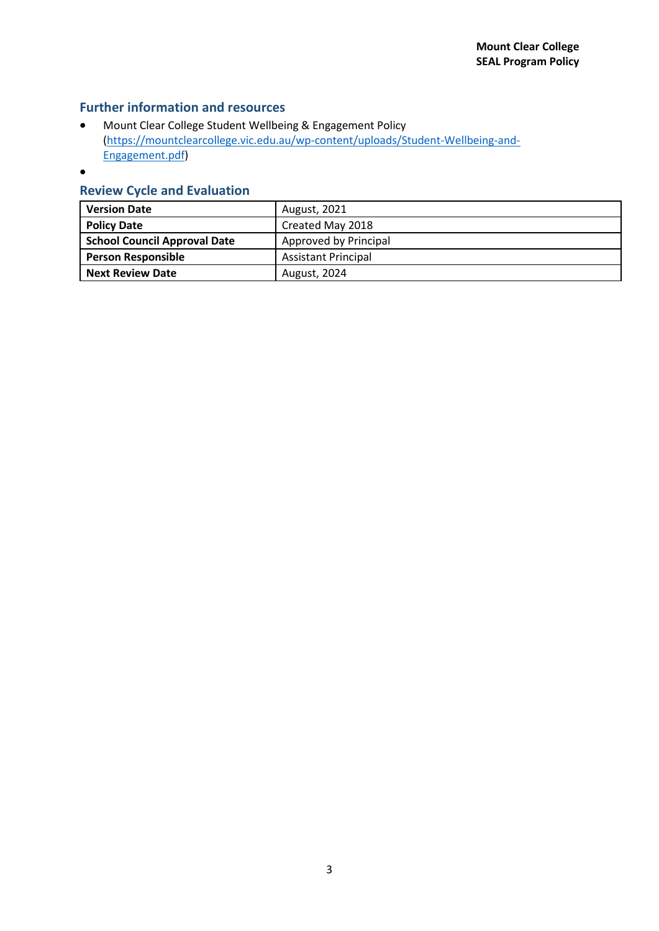### **Further information and resources**

- Mount Clear College Student Wellbeing & Engagement Policy [\(https://mountclearcollege.vic.edu.au/wp-content/uploads/Student-Wellbeing-and-](https://mountclearcollege.vic.edu.au/wp-content/uploads/Student-Wellbeing-and-Engagement.pdf)[Engagement.pdf\)](https://mountclearcollege.vic.edu.au/wp-content/uploads/Student-Wellbeing-and-Engagement.pdf)
- •

### **Review Cycle and Evaluation**

| <b>Version Date</b>                 | August, 2021               |  |  |  |
|-------------------------------------|----------------------------|--|--|--|
| <b>Policy Date</b>                  | Created May 2018           |  |  |  |
| <b>School Council Approval Date</b> | Approved by Principal      |  |  |  |
| <b>Person Responsible</b>           | <b>Assistant Principal</b> |  |  |  |
| <b>Next Review Date</b>             | August, 2024               |  |  |  |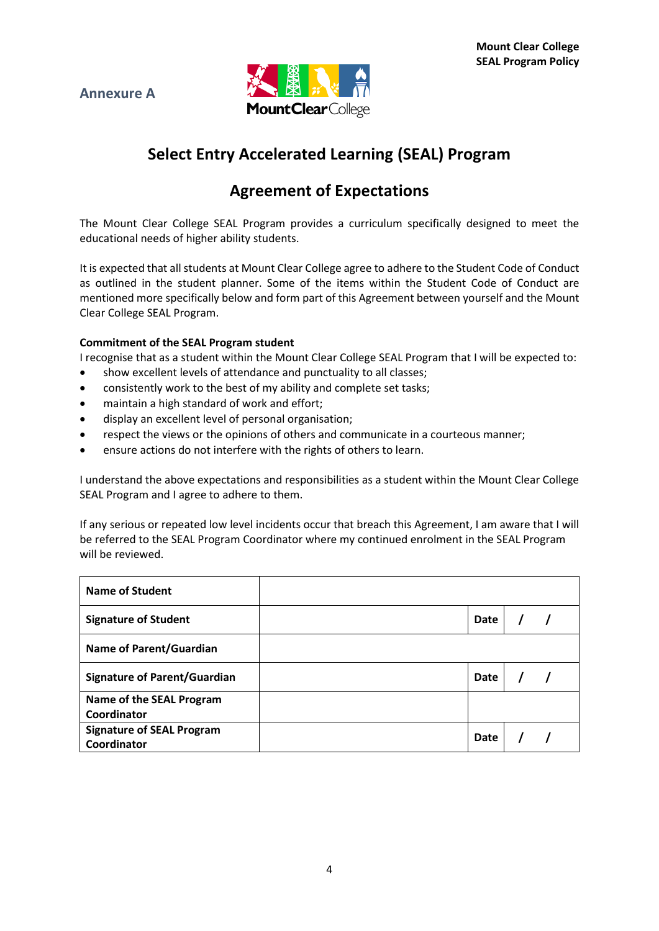



# **Select Entry Accelerated Learning (SEAL) Program**

## **Agreement of Expectations**

The Mount Clear College SEAL Program provides a curriculum specifically designed to meet the educational needs of higher ability students.

It is expected that all students at Mount Clear College agree to adhere to the Student Code of Conduct as outlined in the student planner. Some of the items within the Student Code of Conduct are mentioned more specifically below and form part of this Agreement between yourself and the Mount Clear College SEAL Program.

#### **Commitment of the SEAL Program student**

I recognise that as a student within the Mount Clear College SEAL Program that I will be expected to:

- show excellent levels of attendance and punctuality to all classes;
- consistently work to the best of my ability and complete set tasks;
- maintain a high standard of work and effort;
- display an excellent level of personal organisation;
- respect the views or the opinions of others and communicate in a courteous manner;
- ensure actions do not interfere with the rights of others to learn.

I understand the above expectations and responsibilities as a student within the Mount Clear College SEAL Program and I agree to adhere to them.

If any serious or repeated low level incidents occur that breach this Agreement, I am aware that I will be referred to the SEAL Program Coordinator where my continued enrolment in the SEAL Program will be reviewed.

| <b>Name of Student</b>                          |      |  |  |
|-------------------------------------------------|------|--|--|
| <b>Signature of Student</b>                     | Date |  |  |
| <b>Name of Parent/Guardian</b>                  |      |  |  |
| <b>Signature of Parent/Guardian</b>             | Date |  |  |
| Name of the SEAL Program<br>Coordinator         |      |  |  |
| <b>Signature of SEAL Program</b><br>Coordinator | Date |  |  |